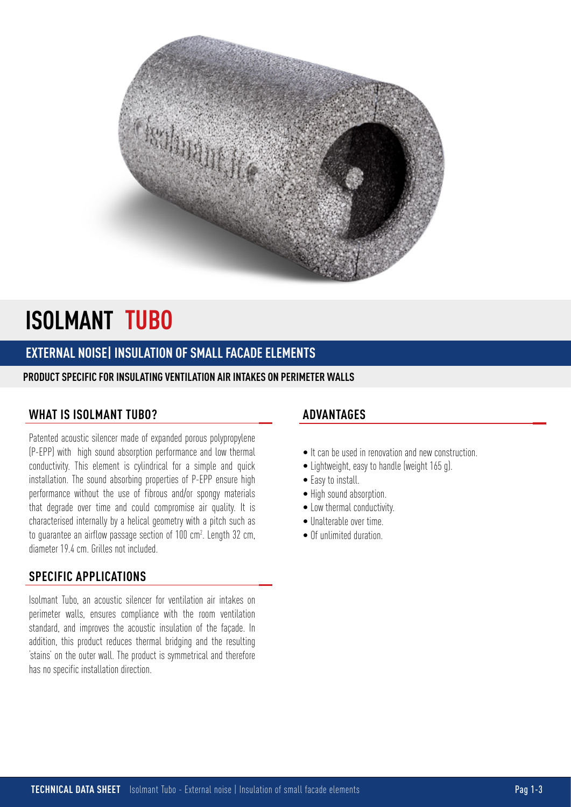

# **ISOLMANT TUBO**

## **EXTERNAL NOISE| INSULATION OF SMALL FACADE ELEMENTS**

#### **PRODUCT SPECIFIC FOR INSULATING VENTILATION AIR INTAKES ON PERIMETER WALLS**

#### **WHAT IS ISOLMANT TUBO?**

Patented acoustic silencer made of expanded porous polypropylene (P-EPP) with high sound absorption performance and low thermal conductivity. This element is cylindrical for a simple and quick installation. The sound absorbing properties of P-EPP ensure high performance without the use of fibrous and/or spongy materials that degrade over time and could compromise air quality. It is characterised internally by a helical geometry with a pitch such as to guarantee an airflow passage section of 100 cm<sup>2</sup>. Length 32 cm, diameter 19.4 cm. Grilles not included.

#### **SPECIFIC APPLICATIONS**

Isolmant Tubo, an acoustic silencer for ventilation air intakes on perimeter walls, ensures compliance with the room ventilation standard, and improves the acoustic insulation of the façade. In addition, this product reduces thermal bridging and the resulting 'stains' on the outer wall. The product is symmetrical and therefore has no specific installation direction.

### **ADVANTAGES**

- It can be used in renovation and new construction.
- Lightweight, easy to handle (weight 165 g).
- Easy to install.
- High sound absorption.
- Low thermal conductivity.
- Unalterable over time.
- Of unlimited duration.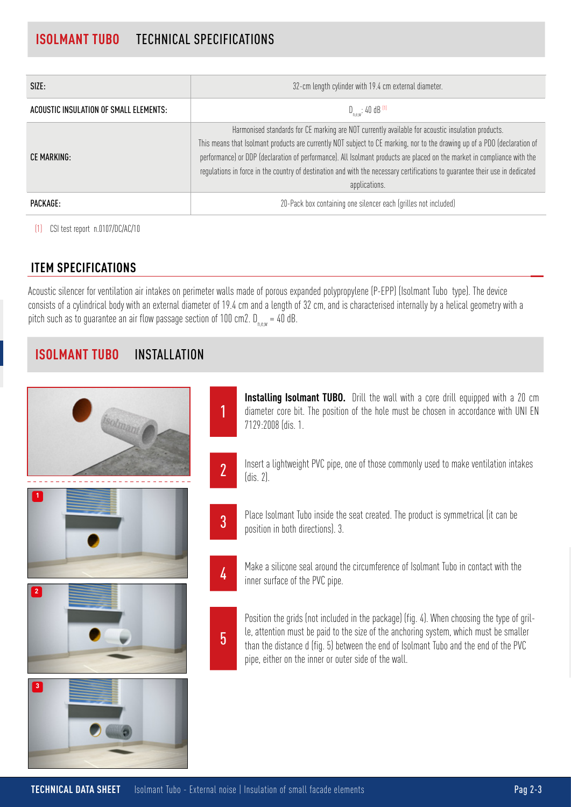| SIZE:                                  | 32-cm length cylinder with 19.4 cm external diameter.                                                                                                                                                                                                                                                                                                                                                                                                                                                      |  |
|----------------------------------------|------------------------------------------------------------------------------------------------------------------------------------------------------------------------------------------------------------------------------------------------------------------------------------------------------------------------------------------------------------------------------------------------------------------------------------------------------------------------------------------------------------|--|
| ACOUSTIC INSULATION OF SMALL ELEMENTS: | $D_{new}$ : 40 dB <sup>(1)</sup>                                                                                                                                                                                                                                                                                                                                                                                                                                                                           |  |
| CE MARKING:                            | Harmonised standards for CE marking are NOT currently available for acoustic insulation products.<br>This means that Isolmant products are currently NOT subject to CE marking, nor to the drawing up of a PDO (declaration of<br>performance) or DDP (declaration of performance). All Isolmant products are placed on the market in compliance with the<br>regulations in force in the country of destination and with the necessary certifications to guarantee their use in dedicated<br>applications. |  |
| PACKAGE:                               | 20-Pack box containing one silencer each (grilles not included)                                                                                                                                                                                                                                                                                                                                                                                                                                            |  |

(1) CSI test report n.0107/DC/AC/10

## **ITEM SPECIFICATIONS**

Acoustic silencer for ventilation air intakes on perimeter walls made of porous expanded polypropylene (P-EPP) (Isolmant Tubo type). The device consists of a cylindrical body with an external diameter of 19.4 cm and a length of 32 cm, and is characterised internally by a helical geometry with a pitch such as to guarantee an air flow passage section of 100 cm2.  $D_{\text{new}} = 40$  dB.

# **ISOLMANT TUBO** INSTALLATION

| <i>isolmant</i>         |                |
|-------------------------|----------------|
|                         | $\overline{2}$ |
| $\overline{\mathbf{1}}$ | $\mathfrak{z}$ |
| 2                       | $\frac{1}{4}$  |
|                         | $\overline{5}$ |
| $\overline{\mathbf{3}}$ |                |

**Installing Isolmant TUBO.** Drill the wall with a core drill equipped with a 20 cm diameter core bit. The position of the hole must be chosen in accordance with UNI EN 7129:2008 (dis. 1.

- Insert a lightweight PVC pipe, one of those commonly used to make ventilation intakes (dis. 2).
- Place Isolmant Tubo inside the seat created. The product is symmetrical (it can be position in both directions). 3.
- 

Make a silicone seal around the circumference of Isolmant Tubo in contact with the inner surface of the PVC pipe.

Position the grids (not included in the package) (fig. 4). When choosing the type of grille, attention must be paid to the size of the anchoring system, which must be smaller than the distance d (fig. 5) between the end of Isolmant Tubo and the end of the PVC pipe, either on the inner or outer side of the wall.